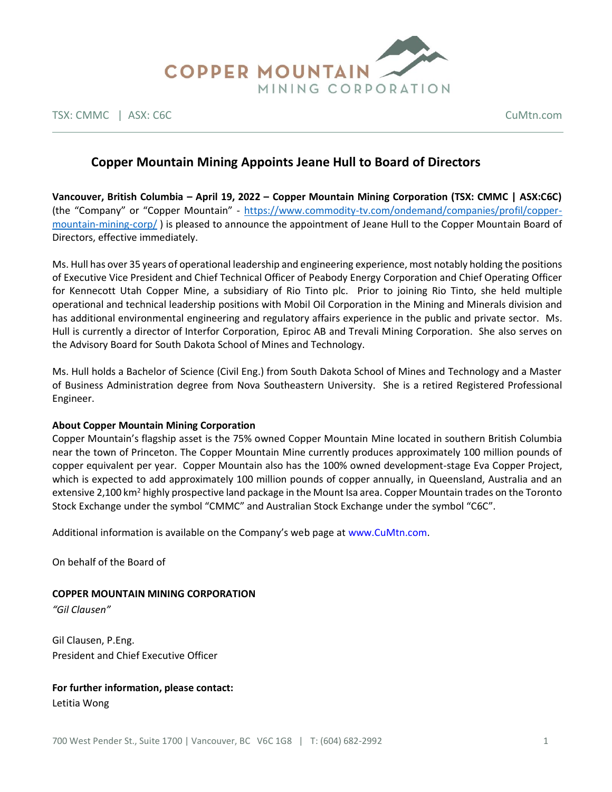

TSX: CMMC | ASX: C6C CuMtn.com

# **Copper Mountain Mining Appoints Jeane Hull to Board of Directors**

**Vancouver, British Columbia – April 19, 2022 – Copper Mountain Mining Corporation (TSX: CMMC | ASX:C6C)**  (the "Company" or "Copper Mountain" - [https://www.commodity-tv.com/ondemand/companies/profil/copper](https://www.commodity-tv.com/ondemand/companies/profil/copper-mountain-mining-corp/)[mountain-mining-corp/](https://www.commodity-tv.com/ondemand/companies/profil/copper-mountain-mining-corp/) ) is pleased to announce the appointment of Jeane Hull to the Copper Mountain Board of Directors, effective immediately.

Ms. Hull has over 35 years of operational leadership and engineering experience, most notably holding the positions of Executive Vice President and Chief Technical Officer of Peabody Energy Corporation and Chief Operating Officer for Kennecott Utah Copper Mine, a subsidiary of Rio Tinto plc. Prior to joining Rio Tinto, she held multiple operational and technical leadership positions with Mobil Oil Corporation in the Mining and Minerals division and has additional environmental engineering and regulatory affairs experience in the public and private sector. Ms. Hull is currently a director of Interfor Corporation, Epiroc AB and Trevali Mining Corporation. She also serves on the Advisory Board for South Dakota School of Mines and Technology.

Ms. Hull holds a Bachelor of Science (Civil Eng.) from South Dakota School of Mines and Technology and a Master of Business Administration degree from Nova Southeastern University. She is a retired Registered Professional Engineer.

### **About Copper Mountain Mining Corporation**

Copper Mountain's flagship asset is the 75% owned Copper Mountain Mine located in southern British Columbia near the town of Princeton. The Copper Mountain Mine currently produces approximately 100 million pounds of copper equivalent per year. Copper Mountain also has the 100% owned development-stage Eva Copper Project, which is expected to add approximately 100 million pounds of copper annually, in Queensland, Australia and an extensive 2,100 km<sup>2</sup> highly prospective land package in the Mount Isa area. Copper Mountain trades on the Toronto Stock Exchange under the symbol "CMMC" and Australian Stock Exchange under the symbol "C6C".

Additional information is available on the Company's web page at www.CuMtn.com.

On behalf of the Board of

### **COPPER MOUNTAIN MINING CORPORATION**

*"Gil Clausen"*

Gil Clausen, P.Eng. President and Chief Executive Officer

# **For further information, please contact:**

Letitia Wong